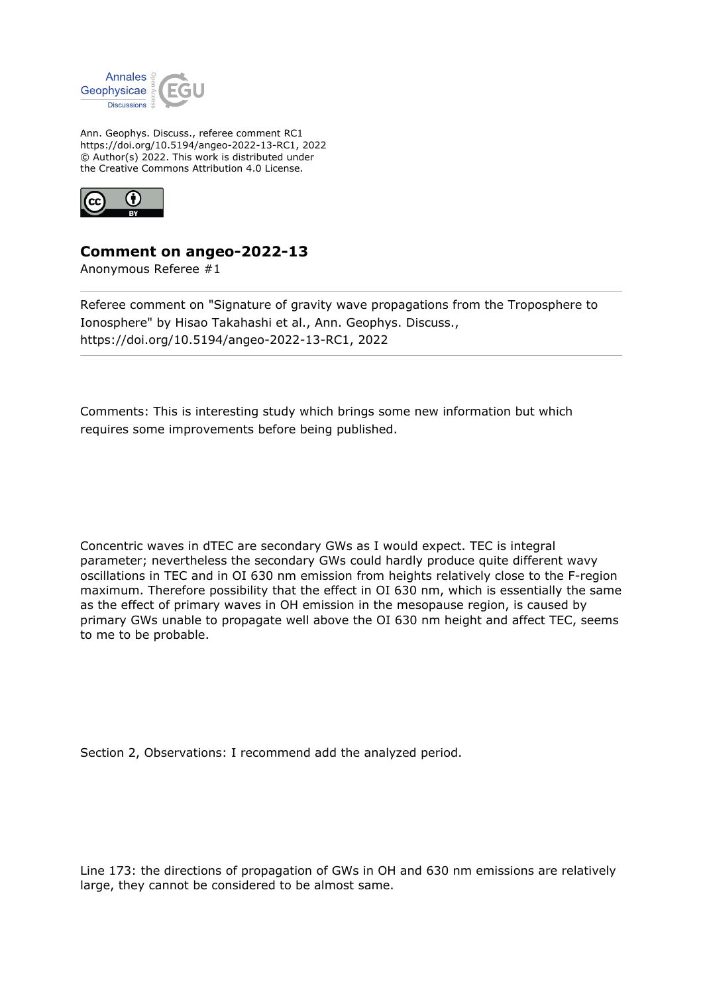

Ann. Geophys. Discuss., referee comment RC1 https://doi.org/10.5194/angeo-2022-13-RC1, 2022 © Author(s) 2022. This work is distributed under the Creative Commons Attribution 4.0 License.



## **Comment on angeo-2022-13**

Anonymous Referee #1

Referee comment on "Signature of gravity wave propagations from the Troposphere to Ionosphere" by Hisao Takahashi et al., Ann. Geophys. Discuss., https://doi.org/10.5194/angeo-2022-13-RC1, 2022

Comments: This is interesting study which brings some new information but which requires some improvements before being published.

Concentric waves in dTEC are secondary GWs as I would expect. TEC is integral parameter; nevertheless the secondary GWs could hardly produce quite different wavy oscillations in TEC and in OI 630 nm emission from heights relatively close to the F-region maximum. Therefore possibility that the effect in OI 630 nm, which is essentially the same as the effect of primary waves in OH emission in the mesopause region, is caused by primary GWs unable to propagate well above the OI 630 nm height and affect TEC, seems to me to be probable.

Section 2, Observations: I recommend add the analyzed period.

Line 173: the directions of propagation of GWs in OH and 630 nm emissions are relatively large, they cannot be considered to be almost same.